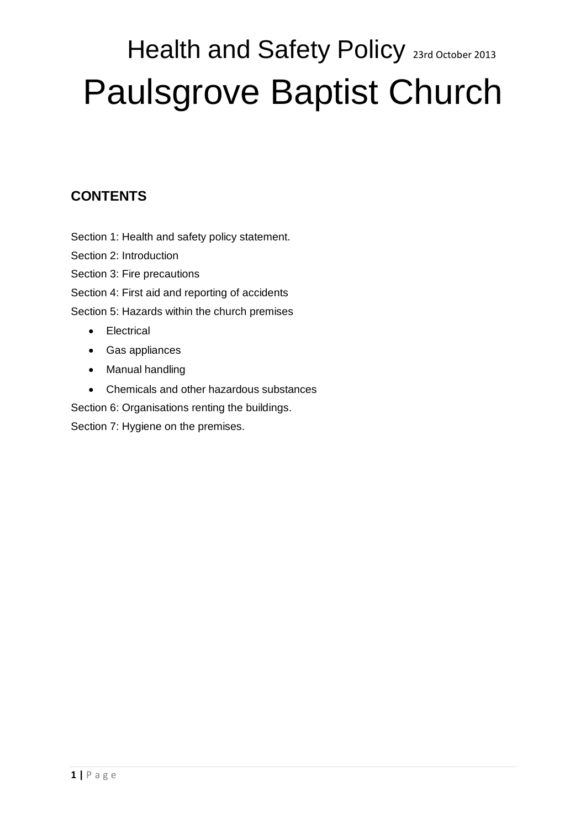# Health and Safety Policy 23rd October 2013 Paulsgrove Baptist Church

### **CONTENTS**

Section 1: Health and safety policy statement.

Section 2: Introduction

Section 3: Fire precautions

Section 4: First aid and reporting of accidents

Section 5: Hazards within the church premises

- Electrical
- Gas appliances
- Manual handling
- Chemicals and other hazardous substances

Section 6: Organisations renting the buildings.

Section 7: Hygiene on the premises.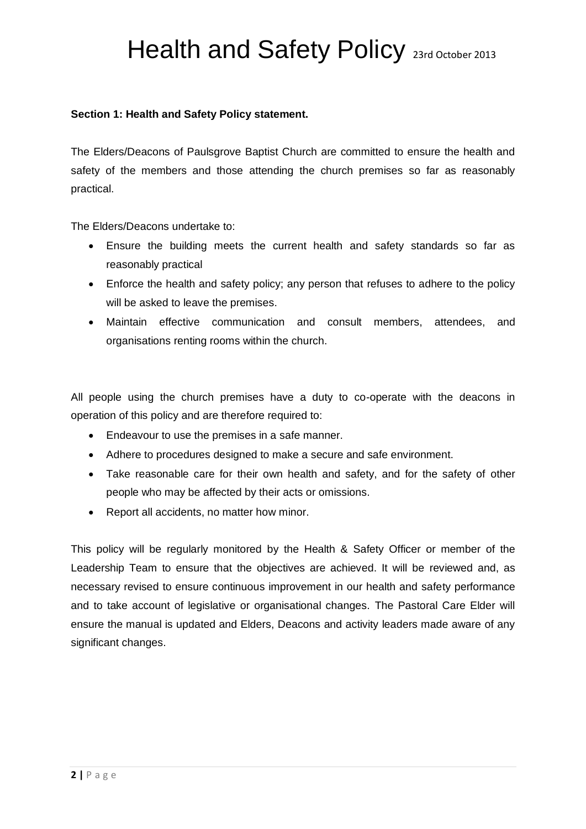#### **Section 1: Health and Safety Policy statement.**

The Elders/Deacons of Paulsgrove Baptist Church are committed to ensure the health and safety of the members and those attending the church premises so far as reasonably practical.

The Elders/Deacons undertake to:

- Ensure the building meets the current health and safety standards so far as reasonably practical
- Enforce the health and safety policy; any person that refuses to adhere to the policy will be asked to leave the premises.
- Maintain effective communication and consult members, attendees, and organisations renting rooms within the church.

All people using the church premises have a duty to co-operate with the deacons in operation of this policy and are therefore required to:

- Endeavour to use the premises in a safe manner.
- Adhere to procedures designed to make a secure and safe environment.
- Take reasonable care for their own health and safety, and for the safety of other people who may be affected by their acts or omissions.
- Report all accidents, no matter how minor.

This policy will be regularly monitored by the Health & Safety Officer or member of the Leadership Team to ensure that the objectives are achieved. It will be reviewed and, as necessary revised to ensure continuous improvement in our health and safety performance and to take account of legislative or organisational changes. The Pastoral Care Elder will ensure the manual is updated and Elders, Deacons and activity leaders made aware of any significant changes.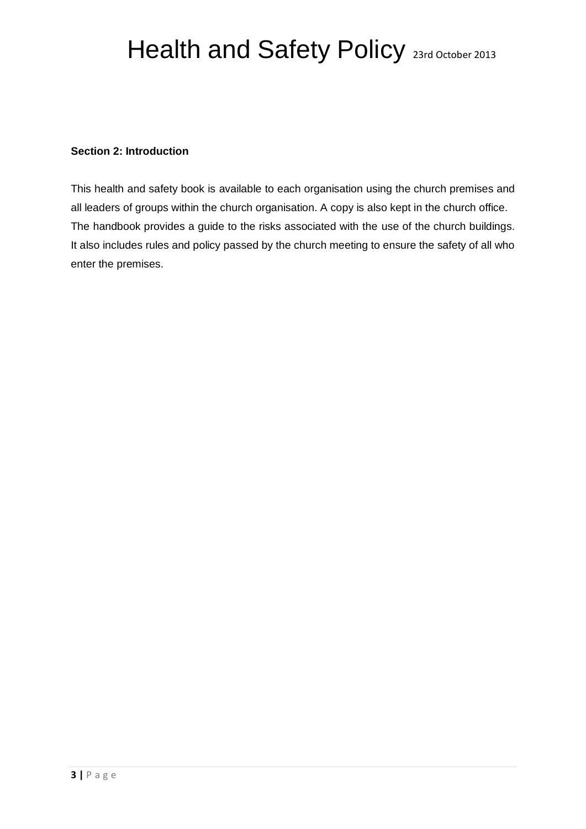#### **Section 2: Introduction**

This health and safety book is available to each organisation using the church premises and all leaders of groups within the church organisation. A copy is also kept in the church office. The handbook provides a guide to the risks associated with the use of the church buildings. It also includes rules and policy passed by the church meeting to ensure the safety of all who enter the premises.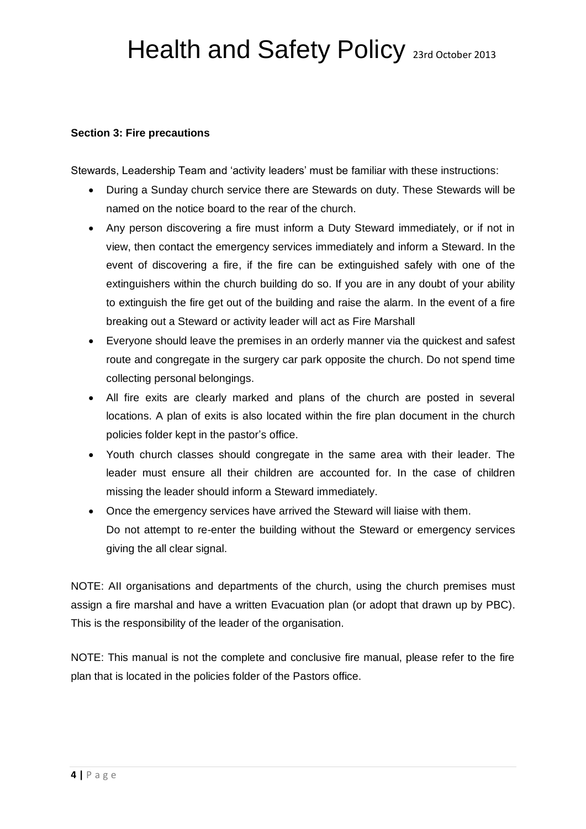#### **Section 3: Fire precautions**

Stewards, Leadership Team and 'activity leaders' must be familiar with these instructions:

- During a Sunday church service there are Stewards on duty. These Stewards will be named on the notice board to the rear of the church.
- Any person discovering a fire must inform a Duty Steward immediately, or if not in view, then contact the emergency services immediately and inform a Steward. In the event of discovering a fire, if the fire can be extinguished safely with one of the extinguishers within the church building do so. If you are in any doubt of your ability to extinguish the fire get out of the building and raise the alarm. In the event of a fire breaking out a Steward or activity leader will act as Fire Marshall
- Everyone should leave the premises in an orderly manner via the quickest and safest route and congregate in the surgery car park opposite the church. Do not spend time collecting personal belongings.
- All fire exits are clearly marked and plans of the church are posted in several locations. A plan of exits is also located within the fire plan document in the church policies folder kept in the pastor's office.
- Youth church classes should congregate in the same area with their leader. The leader must ensure all their children are accounted for. In the case of children missing the leader should inform a Steward immediately.
- Once the emergency services have arrived the Steward will liaise with them. Do not attempt to re-enter the building without the Steward or emergency services giving the all clear signal.

NOTE: AII organisations and departments of the church, using the church premises must assign a fire marshal and have a written Evacuation plan (or adopt that drawn up by PBC). This is the responsibility of the leader of the organisation.

NOTE: This manual is not the complete and conclusive fire manual, please refer to the fire plan that is located in the policies folder of the Pastors office.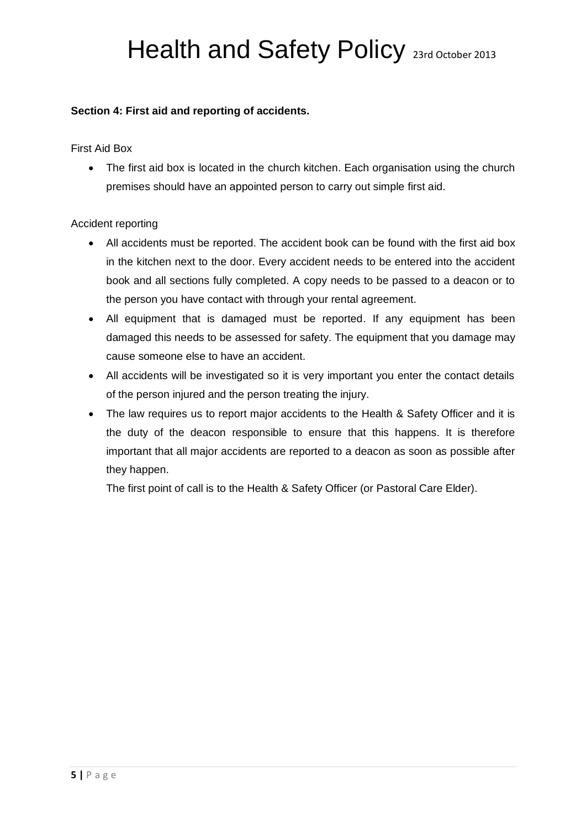#### **Section 4: First aid and reporting of accidents.**

First Aid Box

• The first aid box is located in the church kitchen. Each organisation using the church premises should have an appointed person to carry out simple first aid.

#### Accident reporting

- All accidents must be reported. The accident book can be found with the first aid box in the kitchen next to the door. Every accident needs to be entered into the accident book and all sections fully completed. A copy needs to be passed to a deacon or to the person you have contact with through your rental agreement.
- All equipment that is damaged must be reported. If any equipment has been damaged this needs to be assessed for safety. The equipment that you damage may cause someone else to have an accident.
- All accidents will be investigated so it is very important you enter the contact details of the person injured and the person treating the injury.
- The law requires us to report major accidents to the Health & Safety Officer and it is the duty of the deacon responsible to ensure that this happens. It is therefore important that all major accidents are reported to a deacon as soon as possible after they happen.

The first point of call is to the Health & Safety Officer (or Pastoral Care Elder).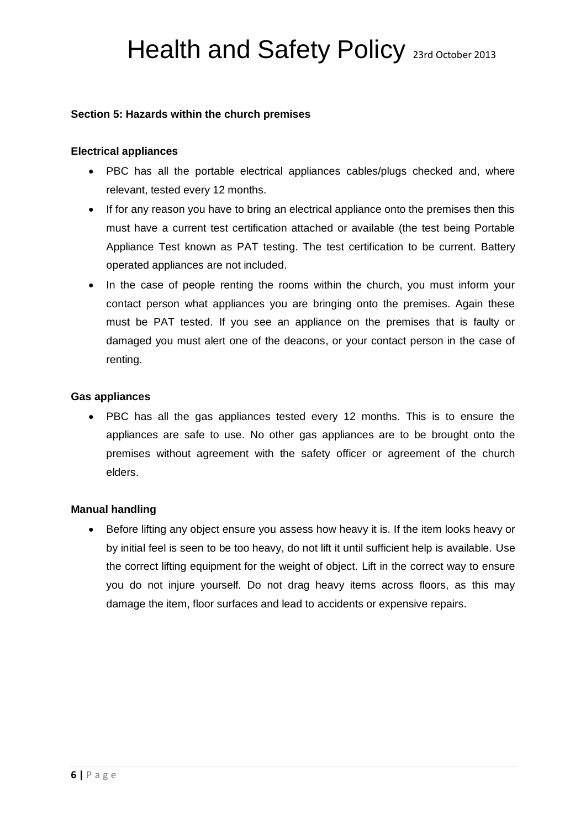#### **Section 5: Hazards within the church premises**

#### **Electrical appliances**

- PBC has all the portable electrical appliances cables/plugs checked and, where relevant, tested every 12 months.
- If for any reason you have to bring an electrical appliance onto the premises then this must have a current test certification attached or available (the test being Portable Appliance Test known as PAT testing. The test certification to be current. Battery operated appliances are not included.
- In the case of people renting the rooms within the church, you must inform your contact person what appliances you are bringing onto the premises. Again these must be PAT tested. If you see an appliance on the premises that is faulty or damaged you must alert one of the deacons, or your contact person in the case of renting.

#### **Gas appliances**

 PBC has all the gas appliances tested every 12 months. This is to ensure the appliances are safe to use. No other gas appliances are to be brought onto the premises without agreement with the safety officer or agreement of the church elders.

#### **Manual handling**

• Before lifting any object ensure you assess how heavy it is. If the item looks heavy or by initial feel is seen to be too heavy, do not lift it until sufficient help is available. Use the correct lifting equipment for the weight of object. Lift in the correct way to ensure you do not injure yourself. Do not drag heavy items across floors, as this may damage the item, floor surfaces and lead to accidents or expensive repairs.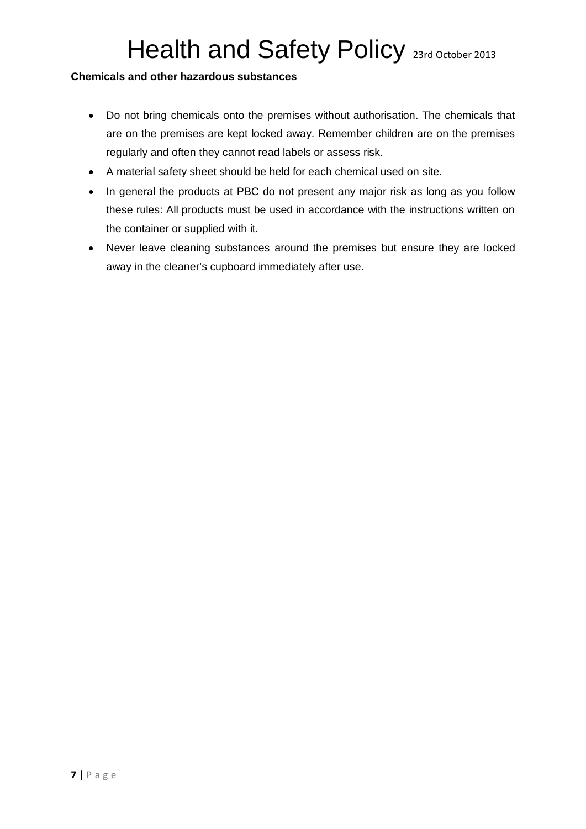#### **Chemicals and other hazardous substances**

- Do not bring chemicals onto the premises without authorisation. The chemicals that are on the premises are kept locked away. Remember children are on the premises regularly and often they cannot read labels or assess risk.
- A material safety sheet should be held for each chemical used on site.
- In general the products at PBC do not present any major risk as long as you follow these rules: All products must be used in accordance with the instructions written on the container or supplied with it.
- Never leave cleaning substances around the premises but ensure they are locked away in the cleaner's cupboard immediately after use.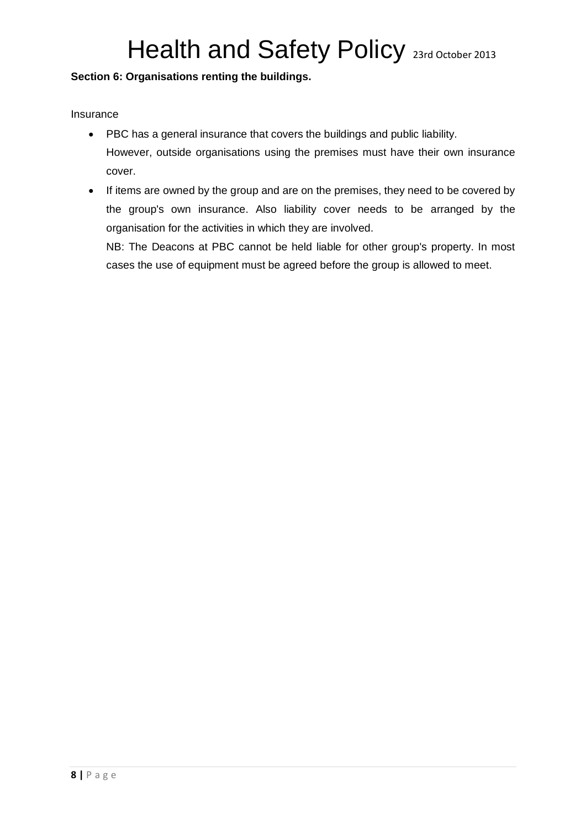#### **Section 6: Organisations renting the buildings.**

Insurance

- PBC has a general insurance that covers the buildings and public liability. However, outside organisations using the premises must have their own insurance cover.
- If items are owned by the group and are on the premises, they need to be covered by the group's own insurance. Also liability cover needs to be arranged by the organisation for the activities in which they are involved.

NB: The Deacons at PBC cannot be held liable for other group's property. In most cases the use of equipment must be agreed before the group is allowed to meet.